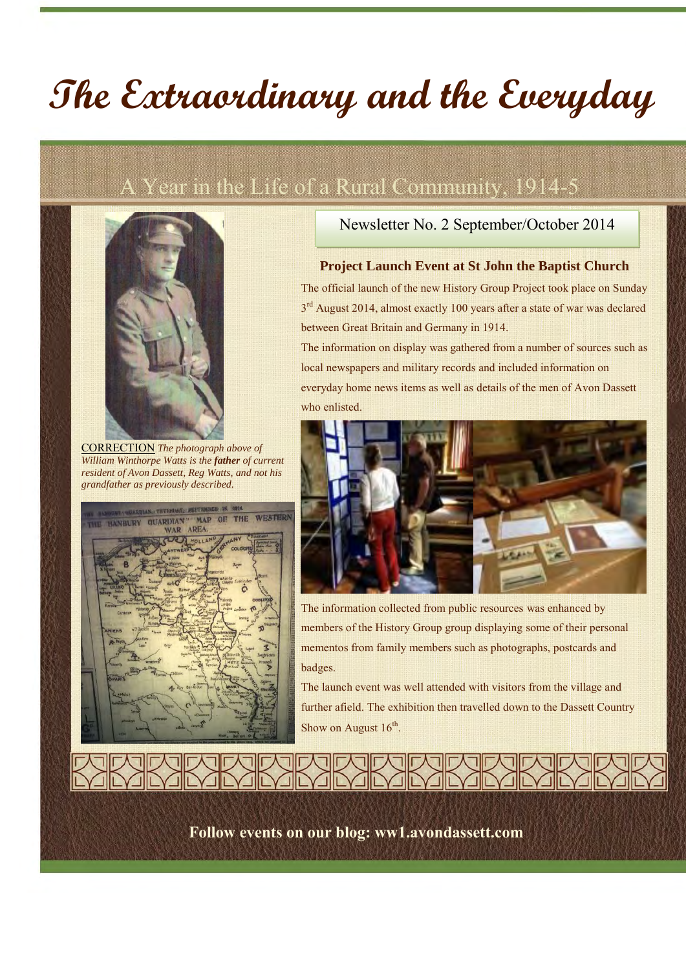# **The Extraordinary and the Everyday**

## A Year in the Life of a Rural Community, 1914-5



CORRECTION *The photograph above of William Winthorpe Watts is the father of current resident of Avon Dassett, Reg Watts, and not his grandfather as previously described.*



#### Newsletter No. 2 September/October 2014

#### **Project Launch Event at St John the Baptist Church**

The official launch of the new History Group Project took place on Sunday 3<sup>rd</sup> August 2014, almost exactly 100 years after a state of war was declared between Great Britain and Germany in 1914.

The information on display was gathered from a number of sources such as local newspapers and military records and included information on everyday home news items as well as details of the men of Avon Dassett who enlisted.



The information collected from public resources was enhanced by members of the History Group group displaying some of their personal mementos from family members such as photographs, postcards and badges.

The launch event was well attended with visitors from the village and further afield. The exhibition then travelled down to the Dassett Country Show on August  $16<sup>th</sup>$ .

**Follow events on our blog: ww1.avondassett.com**